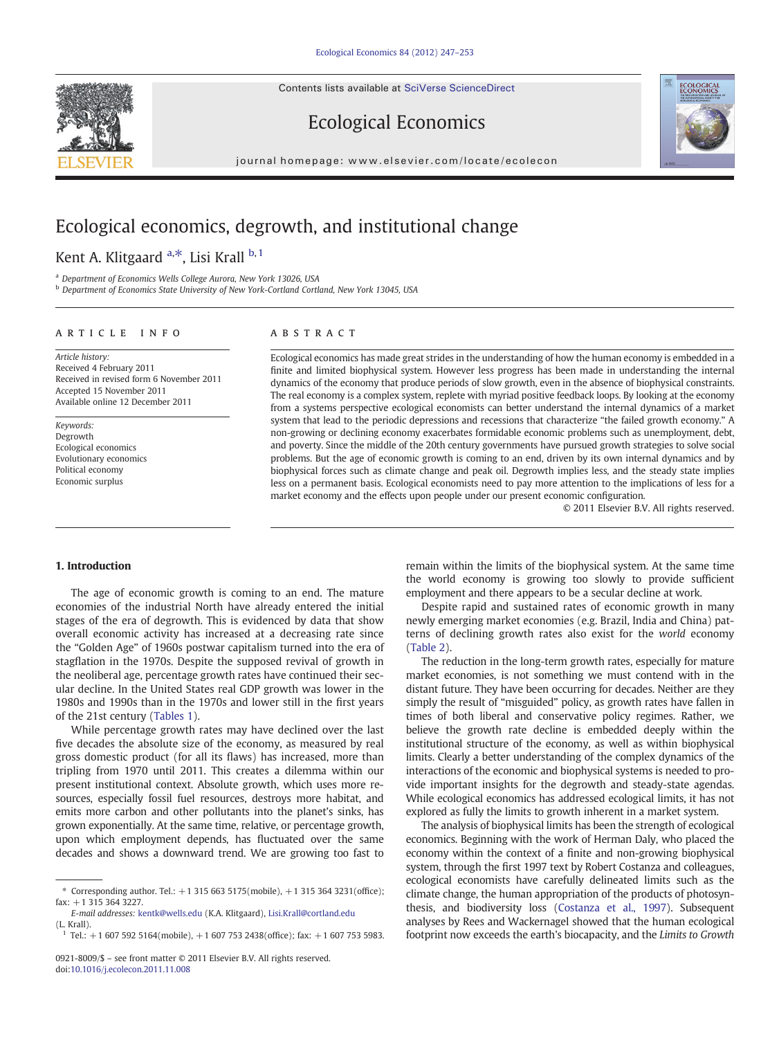Contents lists available at SciVerse ScienceDirect





# Ecological Economics

journal homepage: www.elsevier.com/locate/ecolecon

# Ecological economics, degrowth, and institutional change

## Kent A. Klitgaard <sup>a,\*</sup>, Lisi Krall <sup>b,1</sup>

<sup>a</sup> Department of Economics Wells College Aurora, New York 13026, USA

**b** Department of Economics State University of New York-Cortland Cortland, New York 13045, USA

#### article info abstract

Article history: Received 4 February 2011 Received in revised form 6 November 2011 Accepted 15 November 2011 Available online 12 December 2011

Keywords: Degrowth Ecological economics Evolutionary economics Political economy Economic surplus

Ecological economics has made great strides in the understanding of how the human economy is embedded in a finite and limited biophysical system. However less progress has been made in understanding the internal dynamics of the economy that produce periods of slow growth, even in the absence of biophysical constraints. The real economy is a complex system, replete with myriad positive feedback loops. By looking at the economy from a systems perspective ecological economists can better understand the internal dynamics of a market system that lead to the periodic depressions and recessions that characterize "the failed growth economy." A non-growing or declining economy exacerbates formidable economic problems such as unemployment, debt, and poverty. Since the middle of the 20th century governments have pursued growth strategies to solve social problems. But the age of economic growth is coming to an end, driven by its own internal dynamics and by biophysical forces such as climate change and peak oil. Degrowth implies less, and the steady state implies less on a permanent basis. Ecological economists need to pay more attention to the implications of less for a market economy and the effects upon people under our present economic configuration.

© 2011 Elsevier B.V. All rights reserved.

### 1. Introduction

The age of economic growth is coming to an end. The mature economies of the industrial North have already entered the initial stages of the era of degrowth. This is evidenced by data that show overall economic activity has increased at a decreasing rate since the "Golden Age" of 1960s postwar capitalism turned into the era of stagflation in the 1970s. Despite the supposed revival of growth in the neoliberal age, percentage growth rates have continued their secular decline. In the United States real GDP growth was lower in the 1980s and 1990s than in the 1970s and lower still in the first years of the 21st century ([Tables 1\)](#page-1-0).

While percentage growth rates may have declined over the last five decades the absolute size of the economy, as measured by real gross domestic product (for all its flaws) has increased, more than tripling from 1970 until 2011. This creates a dilemma within our present institutional context. Absolute growth, which uses more resources, especially fossil fuel resources, destroys more habitat, and emits more carbon and other pollutants into the planet's sinks, has grown exponentially. At the same time, relative, or percentage growth, upon which employment depends, has fluctuated over the same decades and shows a downward trend. We are growing too fast to

remain within the limits of the biophysical system. At the same time the world economy is growing too slowly to provide sufficient employment and there appears to be a secular decline at work.

Despite rapid and sustained rates of economic growth in many newly emerging market economies (e.g. Brazil, India and China) patterns of declining growth rates also exist for the world economy [\(Table 2](#page-1-0)).

The reduction in the long-term growth rates, especially for mature market economies, is not something we must contend with in the distant future. They have been occurring for decades. Neither are they simply the result of "misguided" policy, as growth rates have fallen in times of both liberal and conservative policy regimes. Rather, we believe the growth rate decline is embedded deeply within the institutional structure of the economy, as well as within biophysical limits. Clearly a better understanding of the complex dynamics of the interactions of the economic and biophysical systems is needed to provide important insights for the degrowth and steady-state agendas. While ecological economics has addressed ecological limits, it has not explored as fully the limits to growth inherent in a market system.

The analysis of biophysical limits has been the strength of ecological economics. Beginning with the work of Herman Daly, who placed the economy within the context of a finite and non-growing biophysical system, through the first 1997 text by Robert Costanza and colleagues, ecological economists have carefully delineated limits such as the climate change, the human appropriation of the products of photosynthesis, and biodiversity loss [\(Costanza et al., 1997](#page--1-0)). Subsequent analyses by Rees and Wackernagel showed that the human ecological footprint now exceeds the earth's biocapacity, and the Limits to Growth

<sup>⁎</sup> Corresponding author. Tel.: +1 315 663 5175(mobile), +1 315 364 3231(office); fax: +1 315 364 3227.

E-mail addresses: [kentk@wells.edu](mailto:kentk@wells.edu) (K.A. Klitgaard), [Lisi.Krall@cortland.edu](mailto:Lisi.Krall@cortland.edu) (L. Krall).

Tel.:  $+1$  607 592 5164(mobile),  $+1$  607 753 2438(office); fax:  $+1$  607 753 5983.

<sup>0921-8009/\$</sup> – see front matter © 2011 Elsevier B.V. All rights reserved. doi:[10.1016/j.ecolecon.2011.11.008](http://dx.doi.org/10.1016/j.ecolecon.2011.11.008)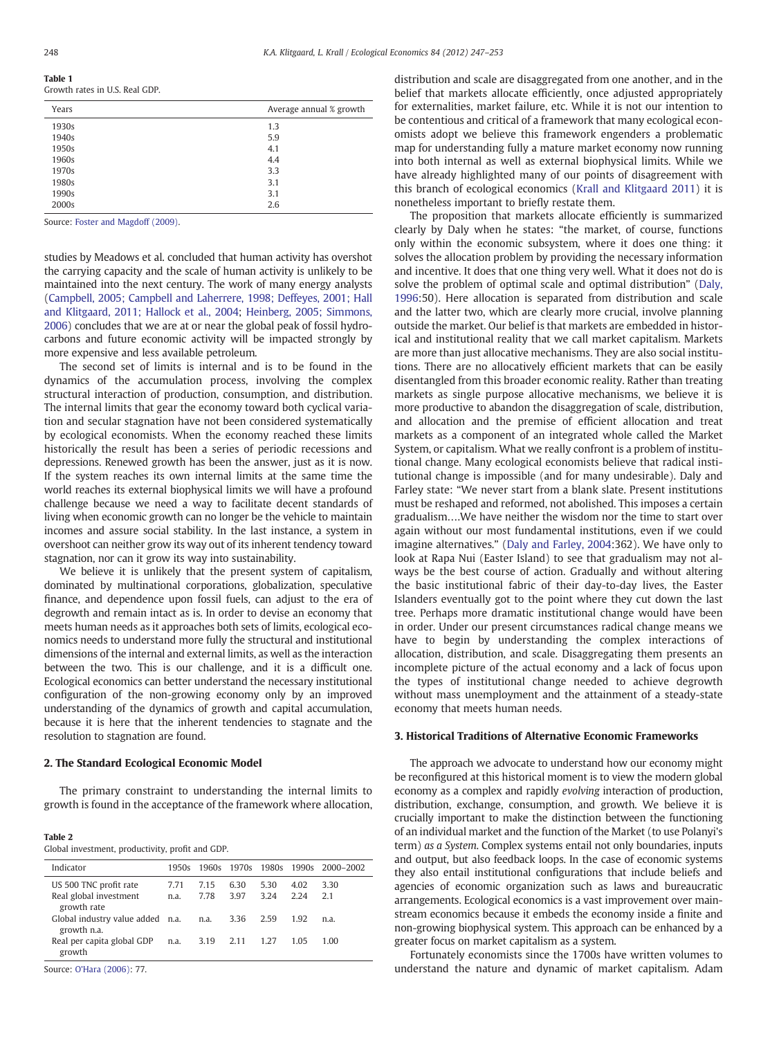<span id="page-1-0"></span>

| Table 1                        |  |  |
|--------------------------------|--|--|
| Growth rates in U.S. Real GDP. |  |  |

| Years | Average annual % growth |
|-------|-------------------------|
| 1930s | 1.3                     |
| 1940s | 5.9                     |
| 1950s | 4.1                     |
| 1960s | 4.4                     |
| 1970s | 3.3                     |
| 1980s | 3.1                     |
| 1990s | 3.1                     |
| 2000s | 2.6                     |

Source: [Foster and Magdoff \(2009\)](#page--1-0).

studies by Meadows et al. concluded that human activity has overshot the carrying capacity and the scale of human activity is unlikely to be maintained into the next century. The work of many energy analysts [\(Campbell, 2005; Campbell and Laherrere, 1998; Deffeyes, 2001; Hall](#page--1-0) [and Klitgaard, 2011; Hallock et al., 2004](#page--1-0); [Heinberg, 2005; Simmons,](#page--1-0) [2006\)](#page--1-0) concludes that we are at or near the global peak of fossil hydrocarbons and future economic activity will be impacted strongly by more expensive and less available petroleum.

The second set of limits is internal and is to be found in the dynamics of the accumulation process, involving the complex structural interaction of production, consumption, and distribution. The internal limits that gear the economy toward both cyclical variation and secular stagnation have not been considered systematically by ecological economists. When the economy reached these limits historically the result has been a series of periodic recessions and depressions. Renewed growth has been the answer, just as it is now. If the system reaches its own internal limits at the same time the world reaches its external biophysical limits we will have a profound challenge because we need a way to facilitate decent standards of living when economic growth can no longer be the vehicle to maintain incomes and assure social stability. In the last instance, a system in overshoot can neither grow its way out of its inherent tendency toward stagnation, nor can it grow its way into sustainability.

We believe it is unlikely that the present system of capitalism, dominated by multinational corporations, globalization, speculative finance, and dependence upon fossil fuels, can adjust to the era of degrowth and remain intact as is. In order to devise an economy that meets human needs as it approaches both sets of limits, ecological economics needs to understand more fully the structural and institutional dimensions of the internal and external limits, as well as the interaction between the two. This is our challenge, and it is a difficult one. Ecological economics can better understand the necessary institutional configuration of the non-growing economy only by an improved understanding of the dynamics of growth and capital accumulation, because it is here that the inherent tendencies to stagnate and the resolution to stagnation are found.

#### 2. The Standard Ecological Economic Model

The primary constraint to understanding the internal limits to growth is found in the acceptance of the framework where allocation,

#### Table 2

Global investment, productivity, profit and GDP.

| Indicator                                       | 1950s |      |      |      |      | 1960s 1970s 1980s 1990s 2000-2002 |
|-------------------------------------------------|-------|------|------|------|------|-----------------------------------|
| US 500 TNC profit rate                          | 7.71  | 7.15 | 6.30 | 5.30 | 4.02 | 3.30                              |
| Real global investment<br>growth rate           | n.a.  | 7.78 | 397  | 3.24 | 2.24 | 2.1                               |
| Global industry value added n.a.<br>growth n.a. |       | n.a. | 3.36 | 2.59 | 192  | n.a.                              |
| Real per capita global GDP<br>growth            | n.a.  | 3.19 | 2.11 | 1.27 | 1 05 | 1.00                              |

Source: [O'Hara \(2006\)](#page--1-0): 77.

distribution and scale are disaggregated from one another, and in the belief that markets allocate efficiently, once adjusted appropriately for externalities, market failure, etc. While it is not our intention to be contentious and critical of a framework that many ecological economists adopt we believe this framework engenders a problematic map for understanding fully a mature market economy now running into both internal as well as external biophysical limits. While we have already highlighted many of our points of disagreement with this branch of ecological economics ([Krall and Klitgaard 2011](#page--1-0)) it is nonetheless important to briefly restate them.

The proposition that markets allocate efficiently is summarized clearly by Daly when he states: "the market, of course, functions only within the economic subsystem, where it does one thing: it solves the allocation problem by providing the necessary information and incentive. It does that one thing very well. What it does not do is solve the problem of optimal scale and optimal distribution" ([Daly,](#page--1-0) [1996:](#page--1-0)50). Here allocation is separated from distribution and scale and the latter two, which are clearly more crucial, involve planning outside the market. Our belief is that markets are embedded in historical and institutional reality that we call market capitalism. Markets are more than just allocative mechanisms. They are also social institutions. There are no allocatively efficient markets that can be easily disentangled from this broader economic reality. Rather than treating markets as single purpose allocative mechanisms, we believe it is more productive to abandon the disaggregation of scale, distribution, and allocation and the premise of efficient allocation and treat markets as a component of an integrated whole called the Market System, or capitalism. What we really confront is a problem of institutional change. Many ecological economists believe that radical institutional change is impossible (and for many undesirable). Daly and Farley state: "We never start from a blank slate. Present institutions must be reshaped and reformed, not abolished. This imposes a certain gradualism….We have neither the wisdom nor the time to start over again without our most fundamental institutions, even if we could imagine alternatives." ([Daly and Farley, 2004](#page--1-0):362). We have only to look at Rapa Nui (Easter Island) to see that gradualism may not always be the best course of action. Gradually and without altering the basic institutional fabric of their day-to-day lives, the Easter Islanders eventually got to the point where they cut down the last tree. Perhaps more dramatic institutional change would have been in order. Under our present circumstances radical change means we have to begin by understanding the complex interactions of allocation, distribution, and scale. Disaggregating them presents an incomplete picture of the actual economy and a lack of focus upon the types of institutional change needed to achieve degrowth without mass unemployment and the attainment of a steady-state economy that meets human needs.

#### 3. Historical Traditions of Alternative Economic Frameworks

The approach we advocate to understand how our economy might be reconfigured at this historical moment is to view the modern global economy as a complex and rapidly evolving interaction of production, distribution, exchange, consumption, and growth. We believe it is crucially important to make the distinction between the functioning of an individual market and the function of the Market (to use Polanyi's term) as a System. Complex systems entail not only boundaries, inputs and output, but also feedback loops. In the case of economic systems they also entail institutional configurations that include beliefs and agencies of economic organization such as laws and bureaucratic arrangements. Ecological economics is a vast improvement over mainstream economics because it embeds the economy inside a finite and non-growing biophysical system. This approach can be enhanced by a greater focus on market capitalism as a system.

Fortunately economists since the 1700s have written volumes to understand the nature and dynamic of market capitalism. Adam